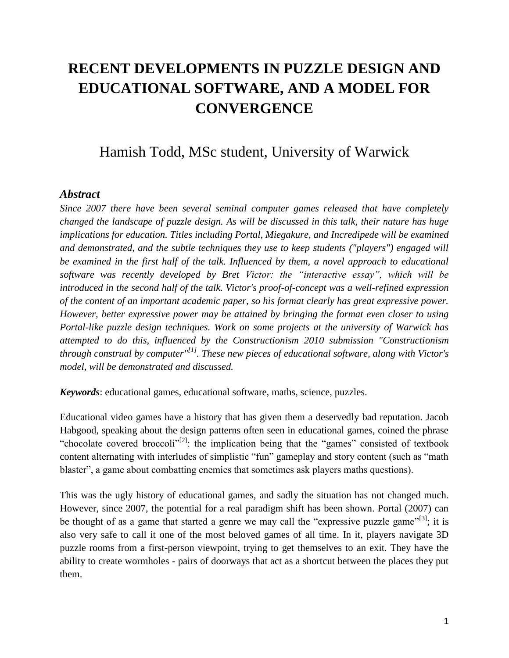## **RECENT DEVELOPMENTS IN PUZZLE DESIGN AND EDUCATIONAL SOFTWARE, AND A MODEL FOR CONVERGENCE**

## Hamish Todd, MSc student, University of Warwick

## *Abstract*

*Since 2007 there have been several seminal computer games released that have completely changed the landscape of puzzle design. As will be discussed in this talk, their nature has huge implications for education. Titles including Portal, Miegakure, and Incredipede will be examined and demonstrated, and the subtle techniques they use to keep students ("players") engaged will be examined in the first half of the talk. Influenced by them, a novel approach to educational software was recently developed by Bret Victor: the "interactive essay", which will be introduced in the second half of the talk. Victor's proof-of-concept was a well-refined expression of the content of an important academic paper, so his format clearly has great expressive power. However, better expressive power may be attained by bringing the format even closer to using Portal-like puzzle design techniques. Work on some projects at the university of Warwick has attempted to do this, influenced by the Constructionism 2010 submission "Constructionism through construal by computer"[1]. These new pieces of educational software, along with Victor's model, will be demonstrated and discussed.*

*Keywords*: educational games, educational software, maths, science, puzzles.

Educational video games have a history that has given them a deservedly bad reputation. Jacob Habgood, speaking about the design patterns often seen in educational games, coined the phrase "chocolate covered broccoli $v^{[2]}$ : the implication being that the "games" consisted of textbook content alternating with interludes of simplistic "fun" gameplay and story content (such as "math blaster", a game about combatting enemies that sometimes ask players maths questions).

This was the ugly history of educational games, and sadly the situation has not changed much. However, since 2007, the potential for a real paradigm shift has been shown. Portal (2007) can be thought of as a game that started a genre we may call the "expressive puzzle game"<sup>[3]</sup>; it is also very safe to call it one of the most beloved games of all time. In it, players navigate 3D puzzle rooms from a first-person viewpoint, trying to get themselves to an exit. They have the ability to create wormholes - pairs of doorways that act as a shortcut between the places they put them.